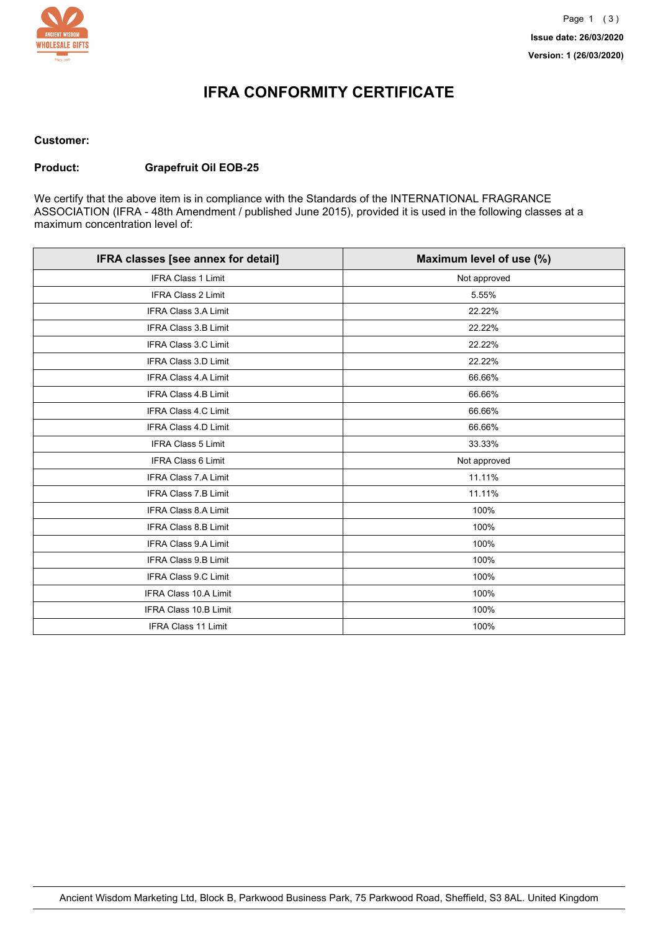

## **IFRA CONFORMITY CERTIFICATE**

#### **Customer:**

#### **Product: Grapefruit Oil EOB-25**

We certify that the above item is in compliance with the Standards of the INTERNATIONAL FRAGRANCE ASSOCIATION (IFRA - 48th Amendment / published June 2015), provided it is used in the following classes at a maximum concentration level of:

| IFRA classes [see annex for detail] | Maximum level of use (%) |
|-------------------------------------|--------------------------|
| IFRA Class 1 Limit                  | Not approved             |
| IFRA Class 2 Limit                  | 5.55%                    |
| <b>IFRA Class 3.A Limit</b>         | 22.22%                   |
| IFRA Class 3.B Limit                | 22.22%                   |
| IFRA Class 3.C Limit                | 22.22%                   |
| <b>IFRA Class 3.D Limit</b>         | 22.22%                   |
| <b>IFRA Class 4.A Limit</b>         | 66.66%                   |
| <b>IFRA Class 4.B Limit</b>         | 66.66%                   |
| <b>IFRA Class 4.C Limit</b>         | 66.66%                   |
| <b>IFRA Class 4.D Limit</b>         | 66.66%                   |
| <b>IFRA Class 5 Limit</b>           | 33.33%                   |
| IFRA Class 6 Limit                  | Not approved             |
| IFRA Class 7.A Limit                | 11.11%                   |
| <b>IFRA Class 7.B Limit</b>         | 11.11%                   |
| <b>IFRA Class 8.A Limit</b>         | 100%                     |
| IFRA Class 8.B Limit                | 100%                     |
| IFRA Class 9.A Limit                | 100%                     |
| IFRA Class 9.B Limit                | 100%                     |
| IFRA Class 9.C Limit                | 100%                     |
| <b>IFRA Class 10.A Limit</b>        | 100%                     |
| IFRA Class 10.B Limit               | 100%                     |
| IFRA Class 11 Limit                 | 100%                     |
|                                     |                          |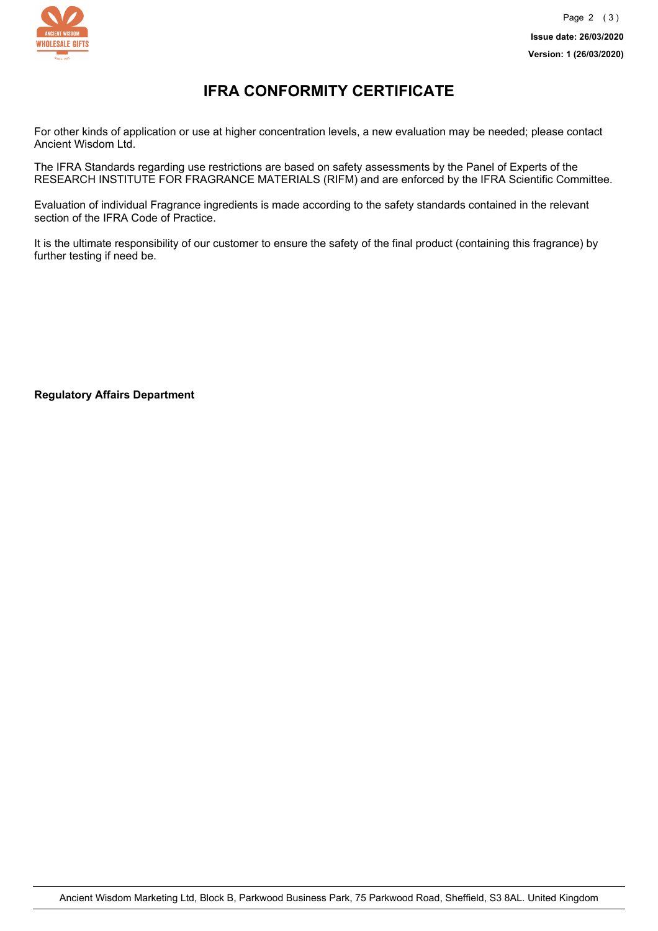

### **IFRA CONFORMITY CERTIFICATE**

For other kinds of application or use at higher concentration levels, a new evaluation may be needed; please contact Ancient Wisdom Ltd.

The IFRA Standards regarding use restrictions are based on safety assessments by the Panel of Experts of the RESEARCH INSTITUTE FOR FRAGRANCE MATERIALS (RIFM) and are enforced by the IFRA Scientific Committee.

Evaluation of individual Fragrance ingredients is made according to the safety standards contained in the relevant section of the IFRA Code of Practice.

It is the ultimate responsibility of our customer to ensure the safety of the final product (containing this fragrance) by further testing if need be.

**Regulatory Affairs Department**